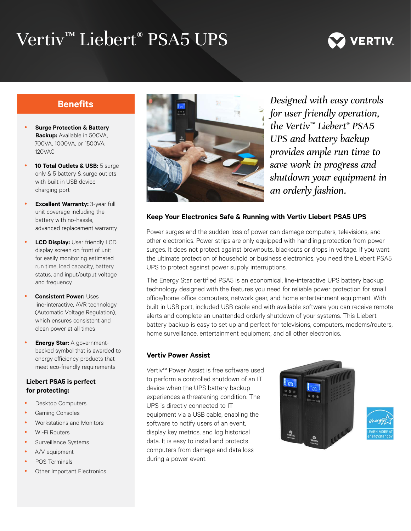# Vertiv™ Liebert® PSA5 UPS



### **Benefits**

- **Surge Protection & Battery Backup:** Available in 500VA, 700VA, 1000VA, or 1500VA; 120VAC
- 10 Total Outlets & USB: 5 surge only & 5 battery & surge outlets with built in USB device charging port
- **Excellent Warranty: 3-year full** unit coverage including the battery with no-hassle, advanced replacement warranty
- **LCD Display:** User friendly LCD display screen on front of unit for easily monitoring estimated run time, load capacity, battery status, and input/output voltage and frequency
- **Consistent Power: Uses** line-interactive, AVR technology (Automatic Voltage Regulation), which ensures consistent and clean power at all times
- **Energy Star: A government**backed symbol that is awarded to energy efficiency products that meet eco-friendly requirements

#### **Liebert PSA5 is perfect for protecting:**

- Desktop Computers
- **Gaming Consoles**
- Workstations and Monitors
- Wi-Fi Routers
- Surveillance Systems
- A/V equipment
- POS Terminals
- Other Important Electronics



*Designed with easy controls for user friendly operation, the Vertiv™ Liebert® PSA5 UPS and battery backup provides ample run time to save work in progress and shutdown your equipment in an orderly fashion.*

#### **Keep Your Electronics Safe & Running with Vertiv Liebert PSA5 UPS**

Power surges and the sudden loss of power can damage computers, televisions, and other electronics. Power strips are only equipped with handling protection from power surges. It does not protect against brownouts, blackouts or drops in voltage. If you want the ultimate protection of household or business electronics, you need the Liebert PSA5 UPS to protect against power supply interruptions.

The Energy Star certified PSA5 is an economical, line-interactive UPS battery backup technology designed with the features you need for reliable power protection for small office/home office computers, network gear, and home entertainment equipment. With built in USB port, included USB cable and with available software you can receive remote alerts and complete an unattended orderly shutdown of your systems. This Liebert battery backup is easy to set up and perfect for televisions, computers, modems/routers, home surveillance, entertainment equipment, and all other electronics.

#### **Vertiv Power Assist**

Vertiv™ Power Assist is free software used to perform a controlled shutdown of an IT device when the UPS battery backup experiences a threatening condition. The UPS is directly connected to IT equipment via a USB cable, enabling the software to notify users of an event, display key metrics, and log historical data. It is easy to install and protects computers from damage and data loss during a power event.